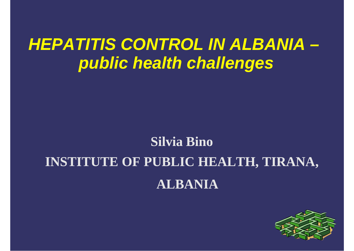#### *HEPATITIS CONTROL IN ALBANIA – public health challenges*

## **Silvia Bino INSTITUTE OF PUBLIC HEALTH, TIRANA, ALBANIA**

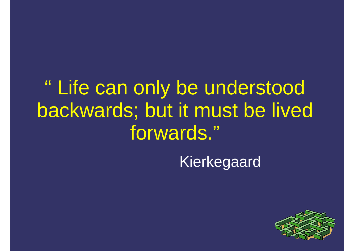# " Life can only be understood backwards; but it must be lived forwards."

Kierkegaard

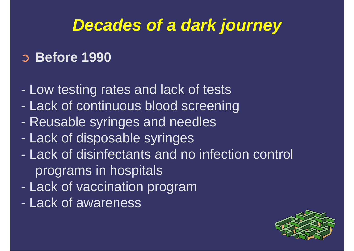#### *Decades of a dark journey*

#### ➲ **Before 1990**

- Low testing rates and lack of tests
- Lack of continuous blood screening
- Reusable syringes and needles
- Lack of disposable syringes
- Lack of disinfectants and no infection control programs in hospitals
- Lack of vaccination program
- Lack of awareness

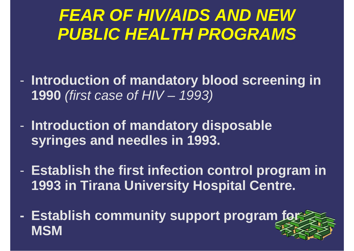# *FEAR OF HIV/AIDS AND NEW PUBLIC HEALTH PROGRAMS*

- - **Introduction of mandatory blood screening in 1990** *(first case of HIV – 1993)*
- - **Introduction of mandatory disposable syringes and needles in 1993.**
- - **Establish the first infection control program in 1993 in Tirana University Hospital Centre.**
- **-Establish community support program for MSM**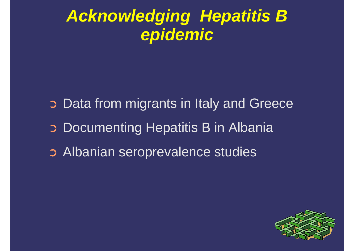#### *Acknowledging Hepatitis B epidemic*

➲ Data from migrants in Italy and Greece ➲ Documenting Hepatitis B in Albania ➲ Albanian seroprevalence studies

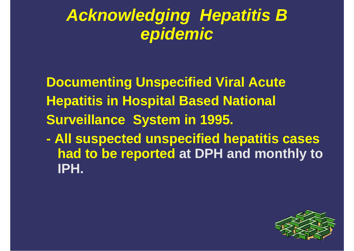#### *Acknowledging Hepatitis B epidemic*

**Documenting Unspecified Viral Acute Hepatitis in Hospital Based National Surveillance System in 1995.**

**- All suspected unspecified hepatitis cases had to be reported at DPH and monthly to IPH.**

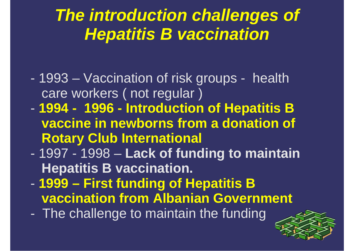# *The introduction challenges of Hepatitis B vaccination*

- 1993 Vaccination of risk groups health care workers ( not regular )
- **1994 - 1996 - Introduction of Hepatitis B vaccine in newborns from a donation of Rotary Club International**
- - 1997 - 1998 – **Lack of funding to maintain Hepatitis B vaccination.**
- - **1999 – First funding of Hepatitis B vaccination from Albanian Government**
- -The challenge to maintain the funding

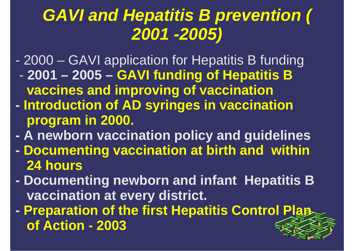# *GAVI and Hepatitis B prevention ( 2001 -2005)*

- 2000 GAVI application for Hepatitis B funding
- **2001 – 2005 – GAVI funding of Hepatitis B vaccines and improving of vaccination**
- **Introduction of AD syringes in vaccination program in 2000.**
- **- A newborn vaccination policy and guidelines**
- **- Documenting vaccination at birth and within 24 hours**
- **Documenting newborn and infant Hepatitis B vaccination at every district.**
- **- Preparation of the first Hepatitis Control Plan of Action - 2003**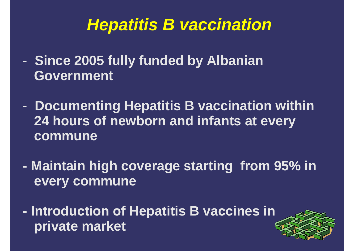# *Hepatitis B vaccination*

- **Since 2005 fully funded by Albanian Government**
- - **Documenting Hepatitis B vaccination within 24 hours of newborn and infants at every commune**
- **- Maintain high coverage starting from 95% in every commune**
- **- Introduction of Hepatitis B vaccines in private market**

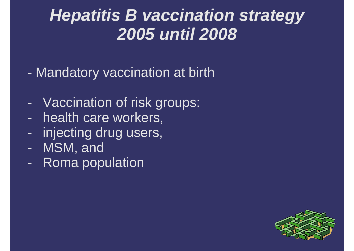## *Hepatitis B vaccination strategy 2005 until 2008*

- Mandatory vaccination at birth
- -Vaccination of risk groups:
- health care workers,
- injecting drug users,
- -MSM, and
- Roma population

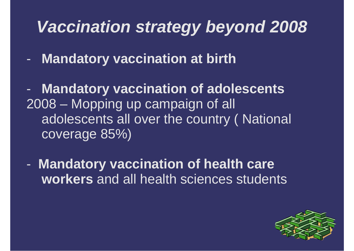#### *Vaccination strategy beyond 2008*

-**Mandatory vaccination at birth**

- **Mandatory vaccination of adolescents**  2008 – Mopping up campaign of all adolescents all over the country ( National coverage 85%)

- **Mandatory vaccination of health care workers** and all health sciences students

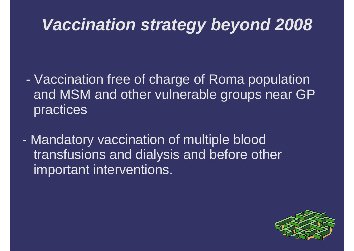#### *Vaccination strategy beyond 2008*

- - Vaccination free of charge of Roma population and MSM and other vulnerable groups near GP practices
- - Mandatory vaccination of multiple blood transfusions and dialysis and before other important interventions.

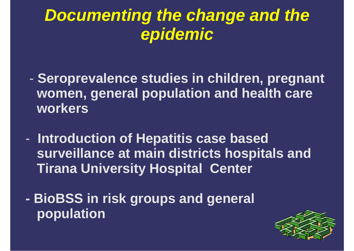# *Documenting the change and the epidemic*

- - **Seroprevalence studies in children, pregnant women, general population and health care workers**
- - **Introduction of Hepatitis case based surveillance at main districts hospitals and Tirana University Hospital Center**
- **- BioBSS in risk groups and general population**

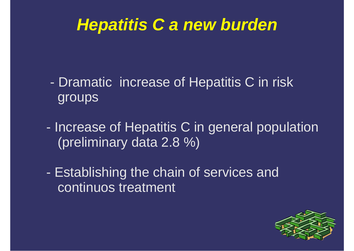#### *Hepatitis C a new burden*

- Dramatic increase of Hepatitis C in risk groups
- Increase of Hepatitis C in general population (preliminary data 2.8 %)
- - Establishing the chain of services and continuos treatment

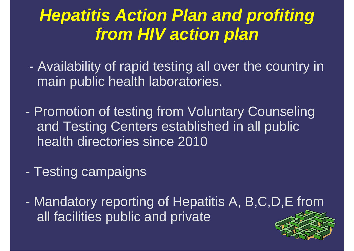# *Hepatitis Action Plan and profiting from HIV action plan*

- Availability of rapid testing all over the country in main public health laboratories.

- Promotion of testing from Voluntary Counseling and Testing Centers established in all public health directories since 2010

-Testing campaigns

- Mandatory reporting of Hepatitis A, B,C,D,E from all facilities public and private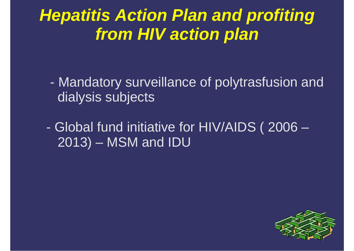# *Hepatitis Action Plan and profiting from HIV action plan*

- Mandatory surveillance of polytrasfusion and dialysis subjects
- Global fund initiative for HIV/AIDS ( 2006 2013) – MSM and IDU

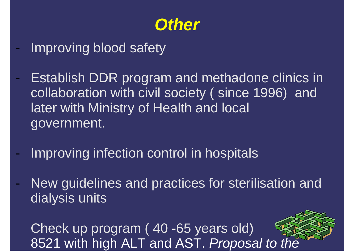

- Improving blood safety
- Establish DDR program and methadone clinics in collaboration with civil society ( since 1996) and later with Ministry of Health and local government.
- Improving infection control in hospitals
- - New guidelines and practices for sterilisation and dialysis units

Check up program ( 40 -65 years old) 8521 with high ALT and AST. *Proposal to the*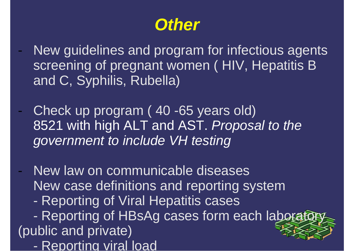#### *Other*

- New guidelines and program for infectious agents screening of pregnant women ( HIV, Hepatitis B and C, Syphilis, Rubella)
- Check up program ( 40 -65 years old) 8521 with high ALT and AST. *Proposal to the government to include VH testing*
- New law on communicable diseases New case definitions and reporting system -Reporting of Viral Hepatitis cases

-Reporting of HBsAg cases form each laboratory. (public and private)

-Reporting viral load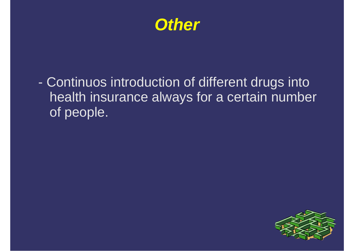

- Continuos introduction of different drugs into health insurance always for a certain number of people.